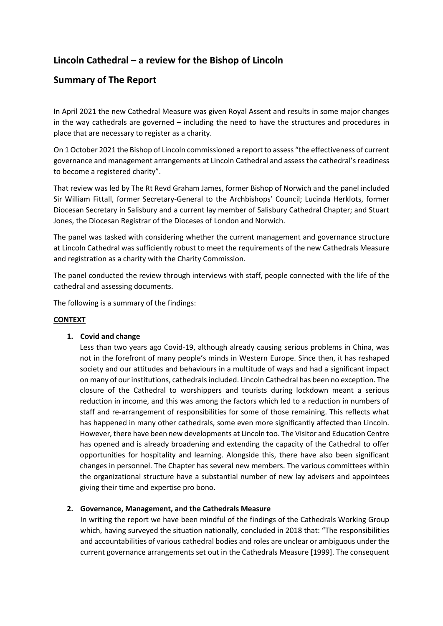# **Lincoln Cathedral – a review for the Bishop of Lincoln**

# **Summary of The Report**

In April 2021 the new Cathedral Measure was given Royal Assent and results in some major changes in the way cathedrals are governed – including the need to have the structures and procedures in place that are necessary to register as a charity.

On 1 October 2021 the Bishop of Lincoln commissioned a report to assess "the effectiveness of current governance and management arrangements at Lincoln Cathedral and assess the cathedral's readiness to become a registered charity".

That review was led by The Rt Revd Graham James, former Bishop of Norwich and the panel included Sir William Fittall, former Secretary-General to the Archbishops' Council; Lucinda Herklots, former Diocesan Secretary in Salisbury and a current lay member of Salisbury Cathedral Chapter; and Stuart Jones, the Diocesan Registrar of the Dioceses of London and Norwich.

The panel was tasked with considering whether the current management and governance structure at Lincoln Cathedral was sufficiently robust to meet the requirements of the new Cathedrals Measure and registration as a charity with the Charity Commission.

The panel conducted the review through interviews with staff, people connected with the life of the cathedral and assessing documents.

The following is a summary of the findings:

# **CONTEXT**

## **1. Covid and change**

Less than two years ago Covid-19, although already causing serious problems in China, was not in the forefront of many people's minds in Western Europe. Since then, it has reshaped society and our attitudes and behaviours in a multitude of ways and had a significant impact on many of our institutions, cathedrals included. Lincoln Cathedral has been no exception. The closure of the Cathedral to worshippers and tourists during lockdown meant a serious reduction in income, and this was among the factors which led to a reduction in numbers of staff and re-arrangement of responsibilities for some of those remaining. This reflects what has happened in many other cathedrals, some even more significantly affected than Lincoln. However, there have been new developments at Lincoln too. The Visitor and Education Centre has opened and is already broadening and extending the capacity of the Cathedral to offer opportunities for hospitality and learning. Alongside this, there have also been significant changes in personnel. The Chapter has several new members. The various committees within the organizational structure have a substantial number of new lay advisers and appointees giving their time and expertise pro bono.

# **2. Governance, Management, and the Cathedrals Measure**

In writing the report we have been mindful of the findings of the Cathedrals Working Group which, having surveyed the situation nationally, concluded in 2018 that: "The responsibilities and accountabilities of various cathedral bodies and roles are unclear or ambiguous under the current governance arrangements set out in the Cathedrals Measure [1999]. The consequent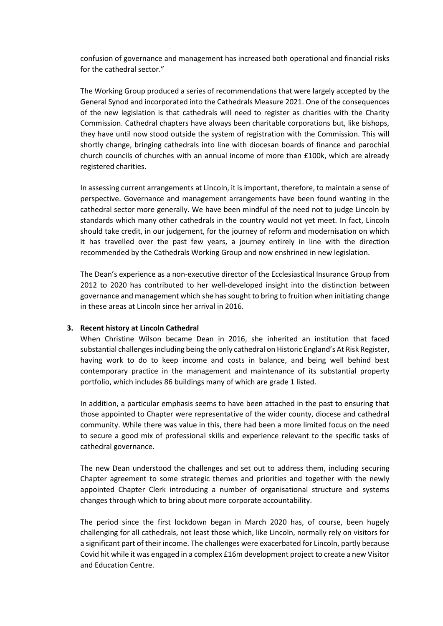confusion of governance and management has increased both operational and financial risks for the cathedral sector."

The Working Group produced a series of recommendations that were largely accepted by the General Synod and incorporated into the Cathedrals Measure 2021. One of the consequences of the new legislation is that cathedrals will need to register as charities with the Charity Commission. Cathedral chapters have always been charitable corporations but, like bishops, they have until now stood outside the system of registration with the Commission. This will shortly change, bringing cathedrals into line with diocesan boards of finance and parochial church councils of churches with an annual income of more than £100k, which are already registered charities.

In assessing current arrangements at Lincoln, it is important, therefore, to maintain a sense of perspective. Governance and management arrangements have been found wanting in the cathedral sector more generally. We have been mindful of the need not to judge Lincoln by standards which many other cathedrals in the country would not yet meet. In fact, Lincoln should take credit, in our judgement, for the journey of reform and modernisation on which it has travelled over the past few years, a journey entirely in line with the direction recommended by the Cathedrals Working Group and now enshrined in new legislation.

The Dean's experience as a non-executive director of the Ecclesiastical Insurance Group from 2012 to 2020 has contributed to her well-developed insight into the distinction between governance and management which she has sought to bring to fruition when initiating change in these areas at Lincoln since her arrival in 2016.

## **3. Recent history at Lincoln Cathedral**

When Christine Wilson became Dean in 2016, she inherited an institution that faced substantial challenges including being the only cathedral on Historic England's At Risk Register, having work to do to keep income and costs in balance, and being well behind best contemporary practice in the management and maintenance of its substantial property portfolio, which includes 86 buildings many of which are grade 1 listed.

In addition, a particular emphasis seems to have been attached in the past to ensuring that those appointed to Chapter were representative of the wider county, diocese and cathedral community. While there was value in this, there had been a more limited focus on the need to secure a good mix of professional skills and experience relevant to the specific tasks of cathedral governance.

The new Dean understood the challenges and set out to address them, including securing Chapter agreement to some strategic themes and priorities and together with the newly appointed Chapter Clerk introducing a number of organisational structure and systems changes through which to bring about more corporate accountability.

The period since the first lockdown began in March 2020 has, of course, been hugely challenging for all cathedrals, not least those which, like Lincoln, normally rely on visitors for a significant part of their income. The challenges were exacerbated for Lincoln, partly because Covid hit while it was engaged in a complex £16m development project to create a new Visitor and Education Centre.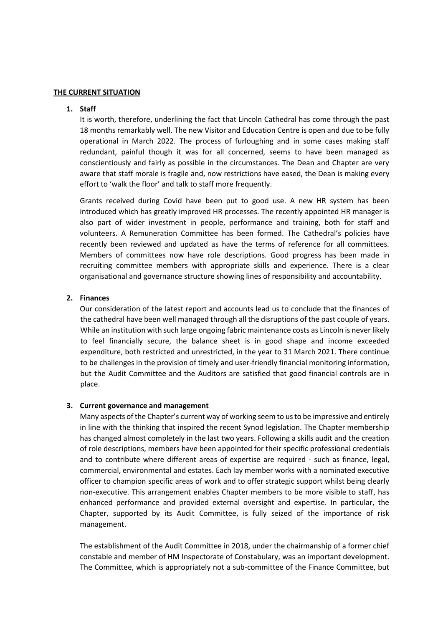#### **THE CURRENT SITUATION**

### **1. Staff**

It is worth, therefore, underlining the fact that Lincoln Cathedral has come through the past 18 months remarkably well. The new Visitor and Education Centre is open and due to be fully operational in March 2022. The process of furloughing and in some cases making staff redundant, painful though it was for all concerned, seems to have been managed as conscientiously and fairly as possible in the circumstances. The Dean and Chapter are very aware that staff morale is fragile and, now restrictions have eased, the Dean is making every effort to 'walk the floor' and talk to staff more frequently.

Grants received during Covid have been put to good use. A new HR system has been introduced which has greatly improved HR processes. The recently appointed HR manager is also part of wider investment in people, performance and training, both for staff and volunteers. A Remuneration Committee has been formed. The Cathedral's policies have recently been reviewed and updated as have the terms of reference for all committees. Members of committees now have role descriptions. Good progress has been made in recruiting committee members with appropriate skills and experience. There is a clear organisational and governance structure showing lines of responsibility and accountability.

## **2. Finances**

Our consideration of the latest report and accounts lead us to conclude that the finances of the cathedral have been well managed through all the disruptions of the past couple of years. While an institution with such large ongoing fabric maintenance costs as Lincoln is never likely to feel financially secure, the balance sheet is in good shape and income exceeded expenditure, both restricted and unrestricted, in the year to 31 March 2021. There continue to be challenges in the provision of timely and user-friendly financial monitoring information, but the Audit Committee and the Auditors are satisfied that good financial controls are in place.

#### **3. Current governance and management**

Many aspects of the Chapter's current way of working seem to us to be impressive and entirely in line with the thinking that inspired the recent Synod legislation. The Chapter membership has changed almost completely in the last two years. Following a skills audit and the creation of role descriptions, members have been appointed for their specific professional credentials and to contribute where different areas of expertise are required - such as finance, legal, commercial, environmental and estates. Each lay member works with a nominated executive officer to champion specific areas of work and to offer strategic support whilst being clearly non-executive. This arrangement enables Chapter members to be more visible to staff, has enhanced performance and provided external oversight and expertise. In particular, the Chapter, supported by its Audit Committee, is fully seized of the importance of risk management.

The establishment of the Audit Committee in 2018, under the chairmanship of a former chief constable and member of HM Inspectorate of Constabulary, was an important development. The Committee, which is appropriately not a sub-committee of the Finance Committee, but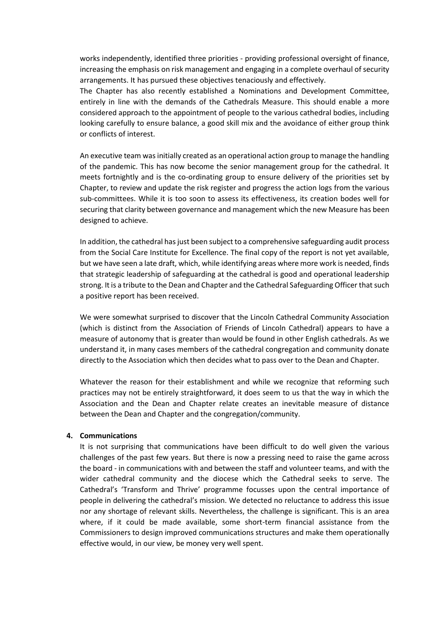works independently, identified three priorities - providing professional oversight of finance, increasing the emphasis on risk management and engaging in a complete overhaul of security arrangements. It has pursued these objectives tenaciously and effectively.

The Chapter has also recently established a Nominations and Development Committee, entirely in line with the demands of the Cathedrals Measure. This should enable a more considered approach to the appointment of people to the various cathedral bodies, including looking carefully to ensure balance, a good skill mix and the avoidance of either group think or conflicts of interest.

An executive team was initially created as an operational action group to manage the handling of the pandemic. This has now become the senior management group for the cathedral. It meets fortnightly and is the co-ordinating group to ensure delivery of the priorities set by Chapter, to review and update the risk register and progress the action logs from the various sub-committees. While it is too soon to assess its effectiveness, its creation bodes well for securing that clarity between governance and management which the new Measure has been designed to achieve.

In addition, the cathedral has just been subject to a comprehensive safeguarding audit process from the Social Care Institute for Excellence. The final copy of the report is not yet available, but we have seen a late draft, which, while identifying areas where more work is needed, finds that strategic leadership of safeguarding at the cathedral is good and operational leadership strong. It is a tribute to the Dean and Chapter and the Cathedral Safeguarding Officer that such a positive report has been received.

We were somewhat surprised to discover that the Lincoln Cathedral Community Association (which is distinct from the Association of Friends of Lincoln Cathedral) appears to have a measure of autonomy that is greater than would be found in other English cathedrals. As we understand it, in many cases members of the cathedral congregation and community donate directly to the Association which then decides what to pass over to the Dean and Chapter.

Whatever the reason for their establishment and while we recognize that reforming such practices may not be entirely straightforward, it does seem to us that the way in which the Association and the Dean and Chapter relate creates an inevitable measure of distance between the Dean and Chapter and the congregation/community.

#### **4. Communications**

It is not surprising that communications have been difficult to do well given the various challenges of the past few years. But there is now a pressing need to raise the game across the board - in communications with and between the staff and volunteer teams, and with the wider cathedral community and the diocese which the Cathedral seeks to serve. The Cathedral's 'Transform and Thrive' programme focusses upon the central importance of people in delivering the cathedral's mission. We detected no reluctance to address this issue nor any shortage of relevant skills. Nevertheless, the challenge is significant. This is an area where, if it could be made available, some short-term financial assistance from the Commissioners to design improved communications structures and make them operationally effective would, in our view, be money very well spent.